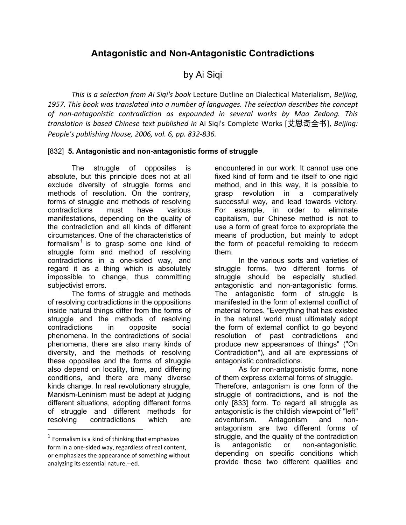## **Antagonistic and Non-Antagonistic Contradictions**

by Ai Siqi

*This
is
a
selection
from
Ai
Siqi's
book* Lecture
Outline
on
Dialectical
Materialism*,
Beijing,*  1957. This book was translated into a number of languages. The selection describes the concept of non-antagonistic contradiction as expounded in several works by Mao Zedong. This *translation
is
based
Chinese
 text
published
in* Ai
Siqi's
Complete
Works
 [艾思奇全书],*Beijing: People's
publishing
House,
2006,
vol.
6,
pp.
832‐836.*

## [832] **5. Antagonistic and non-antagonistic forms of struggle**

The struggle of opposites is absolute, but this principle does not at all exclude diversity of struggle forms and methods of resolution. On the contrary, forms of struggle and methods of resolving contradictions must have various manifestations, depending on the quality of the contradiction and all kinds of different circumstances. One of the characteristics of formalism<sup>1</sup> is to grasp some one kind of struggle form and method of resolving contradictions in a one-sided way, and regard it as a thing which is absolutely impossible to change, thus committing subjectivist errors.

The forms of struggle and methods of resolving contradictions in the oppositions inside natural things differ from the forms of struggle and the methods of resolving contradictions in opposite social phenomena. In the contradictions of social phenomena, there are also many kinds of diversity, and the methods of resolving these opposites and the forms of struggle also depend on locality, time, and differing conditions, and there are many diverse kinds change. In real revolutionary struggle, Marxism-Leninism must be adept at judging different situations, adopting different forms of struggle and different methods for resolving contradictions which are

encountered in our work. It cannot use one fixed kind of form and tie itself to one rigid method, and in this way, it is possible to grasp revolution in a comparatively successful way, and lead towards victory. For example, in order to eliminate capitalism, our Chinese method is not to use a form of great force to expropriate the means of production, but mainly to adopt the form of peaceful remolding to redeem them.

In the various sorts and varieties of struggle forms, two different forms of struggle should be especially studied, antagonistic and non-antagonistic forms. The antagonistic form of struggle is manifested in the form of external conflict of material forces. "Everything that has existed in the natural world must ultimately adopt the form of external conflict to go beyond resolution of past contradictions and produce new appearances of things" ("On Contradiction"), and all are expressions of antagonistic contradictions.

As for non-antagonistic forms, none of them express external forms of struggle. Therefore, antagonism is one form of the struggle of contradictions, and is not the only [833] form. To regard all struggle as antagonistic is the childish viewpoint of "left" adventurism. Antagonism and nonantagonism are two different forms of struggle, and the quality of the contradiction is antagonistic or non-antagonistic, depending on specific conditions which provide these two different qualities and

 $1$  Formalism is a kind of thinking that emphasizes form
in
a
one‐sided
way,
regardless
of
real
content, or
emphasizes
the
appearance
of
something
without analyzing
its
essential
nature.‐‐ed.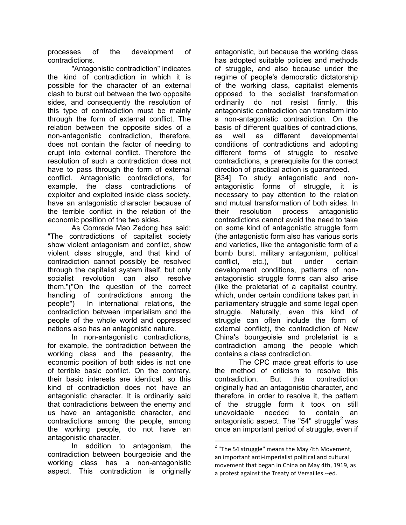processes of the development of contradictions.

"Antagonistic contradiction" indicates the kind of contradiction in which it is possible for the character of an external clash to burst out between the two opposite sides, and consequently the resolution of this type of contradiction must be mainly through the form of external conflict. The relation between the opposite sides of a non-antagonistic contradiction, therefore, does not contain the factor of needing to erupt into external conflict. Therefore the resolution of such a contradiction does not have to pass through the form of external conflict. Antagonistic contradictions, for example, the class contradictions of exploiter and exploited inside class society, have an antagonistic character because of the terrible conflict in the relation of the economic position of the two sides.

As Comrade Mao Zedong has said: "The contradictions of capitalist society show violent antagonism and conflict, show violent class struggle, and that kind of contradiction cannot possibly be resolved through the capitalist system itself, but only socialist revolution can also resolve them."("On the question of the correct handling of contradictions among the people") In international relations, the contradiction between imperialism and the people of the whole world and oppressed nations also has an antagonistic nature.

In non-antagonistic contradictions, for example, the contradiction between the working class and the peasantry, the economic position of both sides is not one of terrible basic conflict. On the contrary, their basic interests are identical, so this kind of contradiction does not have an antagonistic character. It is ordinarily said that contradictions between the enemy and us have an antagonistic character, and contradictions among the people, among the working people, do not have an antagonistic character.

In addition to antagonism, the contradiction between bourgeoisie and the working class has a non-antagonistic aspect. This contradiction is originally antagonistic, but because the working class has adopted suitable policies and methods of struggle, and also because under the regime of people's democratic dictatorship of the working class, capitalist elements opposed to the socialist transformation ordinarily do not resist firmly, this antagonistic contradiction can transform into a non-antagonistic contradiction. On the basis of different qualities of contradictions, as well as different developmental conditions of contradictions and adopting different forms of struggle to resolve contradictions, a prerequisite for the correct direction of practical action is guaranteed.

[834] To study antagonistic and nonantagonistic forms of struggle, it is necessary to pay attention to the relation and mutual transformation of both sides. In their resolution process antagonistic contradictions cannot avoid the need to take on some kind of antagonistic struggle form (the antagonistic form also has various sorts and varieties, like the antagonistic form of a bomb burst, military antagonism, political conflict, etc.), but under certain development conditions, patterns of nonantagonistic struggle forms can also arise (like the proletariat of a capitalist country, which, under certain conditions takes part in parliamentary struggle and some legal open struggle. Naturally, even this kind of struggle can often include the form of external conflict), the contradiction of New China's bourgeoisie and proletariat is a contradiction among the people which contains a class contradiction.

The CPC made great efforts to use the method of criticism to resolve this contradiction. But this contradiction originally had an antagonistic character, and therefore, in order to resolve it, the pattern of the struggle form it took on still unavoidable needed to contain an antagonistic aspect. The "54" struggle<sup>2</sup> was once an important period of struggle, even if

 <sup>2</sup> "The 54 struggle" means the May 4th Movement, an important anti-imperialist political and cultural movement that began in China on May 4th, 1919, as a
protest
against
the
Treaty
of
Versailles.‐‐ed.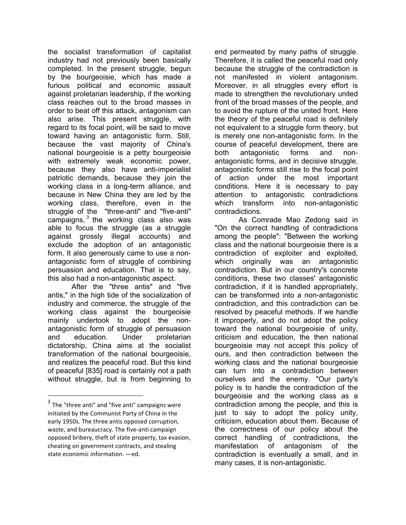the socialist transformation of capitalist industry had not previously been basically completed. In the present struggle, begun by the bourgeoisie, which has made a furious political and economic assault against proletarian leadership, if the working class reaches out to the broad masses in order to beat off this attack, antagonism can also arise. This present struggle, with regard to its focal point, will be said to move toward having an antagonistic form. Still, because the vast majority of China's national bourgeoisie is a petty bourgeoisie with extremely weak economic power, because they also have anti-imperialist patriotic demands, because they join the working class in a long-term alliance, and because in New China they are led by the working class, therefore, even in the struggle of the "three-anti" and "five-anti" campaigns,  $3$  the working class also was able to focus the struggle (as a struggle against grossly illegal accounts) and exclude the adoption of an antagonistic form. It also generously came to use a nonantagonistic form of struggle of combining persuasion and education. That is to say, this also had a non-antagonistic aspect.

After the "three antis" and "five antis," in the high tide of the socialization of industry and commerce, the struggle of the working class against the bourgeoisie mainly undertook to adopt the nonantagonistic form of struggle of persuasion and education. Under proletarian dictatorship, China aims at the socialist transformation of the national bourgeoisie, and realizes the peaceful road. But this kind of peaceful [835] road is certainly not a path without struggle, but is from beginning to

end permeated by many paths of struggle. Therefore, it is called the peaceful road only because the struggle of the contradiction is not manifested in violent antagonism. Moreover, in all struggles every effort is made to strengthen the revolutionary united front of the broad masses of the people, and to avoid the rupture of the united front. Here the theory of the peaceful road is definitely not equivalent to a struggle form theory, but is merely one non-antagonistic form. In the course of peaceful development, there are both antagonistic forms and nonantagonistic forms, and in decisive struggle, antagonistic forms still rise to the focal point of action under the most important conditions. Here it is necessary to pay attention to antagonistic contradictions which transform into non-antagonistic contradictions.

As Comrade Mao Zedong said in "On the correct handling of contradictions among the people": "Between the working class and the national bourgeoisie there is a contradiction of exploiter and exploited, which originally was an antagonistic contradiction. But in our country's concrete conditions, these two classes' antagonistic contradiction, if it is handled appropriately, can be transformed into a non-antagonistic contradiction, and this contradiction can be resolved by peaceful methods. If we handle it improperly, and do not adopt the policy toward the national bourgeoisie of unity, criticism and education, the then national bourgeoisie may not accept this policy of ours, and then contradiction between the working class and the national bourgeoisie can turn into a contradiction between ourselves and the enemy. "Our party's policy is to handle the contradiction of the bourgeoisie and the working class as a contradiction among the people, and this is just to say to adopt the policy unity, criticism, education about them. Because of the correctness of our policy about the correct handling of contradictions, the manifestation of antagonism of the contradiction is eventually a small, and in many cases, it is non-antagonistic.

 $3$  The "three anti" and "five anti" campaigns were initiated
by
the
Communist
Party
of
China
in
the early
1950s.
The
three
antis
opposed
corruption, waste, and bureaucracy. The five-anti campaign opposed
bribery,
theft
of
state
property,
tax
evasion, cheating
on
government
contracts,
and
stealing state
economic
information. —ed.